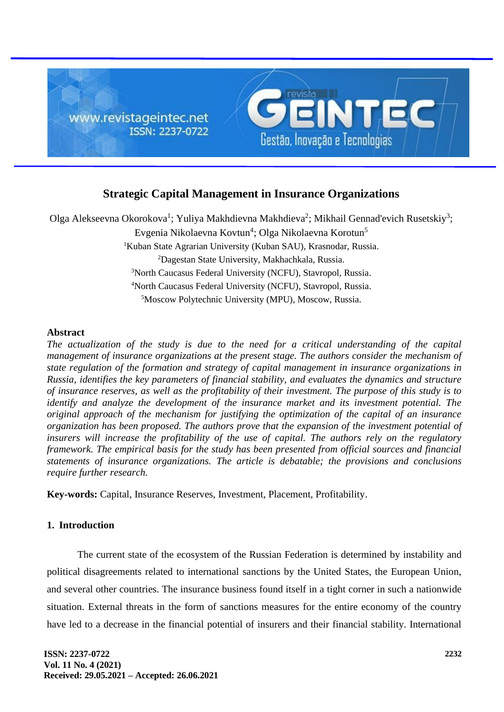

# **Strategic Capital Management in Insurance Organizations**

Olga Alekseevna Okorokova<sup>1</sup>; Yuliya Makhdievna Makhdieva<sup>2</sup>; Mikhail Gennad'evich Rusetskiy<sup>3</sup>; Evgenia Nikolaevna Kovtun<sup>4</sup>; Olga Nikolaevna Korotun<sup>5</sup> <sup>1</sup>Kuban State Agrarian University (Kuban SAU), Krasnodar, Russia. <sup>2</sup>Dagestan State University, Makhachkala, Russia. <sup>3</sup>North Caucasus Federal University (NCFU), Stavropol, Russia. <sup>4</sup>North Caucasus Federal University (NCFU), Stavropol, Russia. <sup>5</sup>Moscow Polytechnic University (MPU), Moscow, Russia.

## **Abstract**

*The actualization of the study is due to the need for a critical understanding of the capital management of insurance organizations at the present stage. The authors consider the mechanism of state regulation of the formation and strategy of capital management in insurance organizations in Russia, identifies the key parameters of financial stability, and evaluates the dynamics and structure of insurance reserves, as well as the profitability of their investment. The purpose of this study is to identify and analyze the development of the insurance market and its investment potential. The original approach of the mechanism for justifying the optimization of the capital of an insurance organization has been proposed. The authors prove that the expansion of the investment potential of*  insurers will increase the profitability of the use of capital. The authors rely on the regulatory *framework. The empirical basis for the study has been presented from official sources and financial statements of insurance organizations. The article is debatable; the provisions and conclusions require further research.*

**Key-words:** Capital, Insurance Reserves, Investment, Placement, Profitability.

## **1. Introduction**

The current state of the ecosystem of the Russian Federation is determined by instability and political disagreements related to international sanctions by the United States, the European Union, and several other countries. The insurance business found itself in a tight corner in such a nationwide situation. External threats in the form of sanctions measures for the entire economy of the country have led to a decrease in the financial potential of insurers and their financial stability. International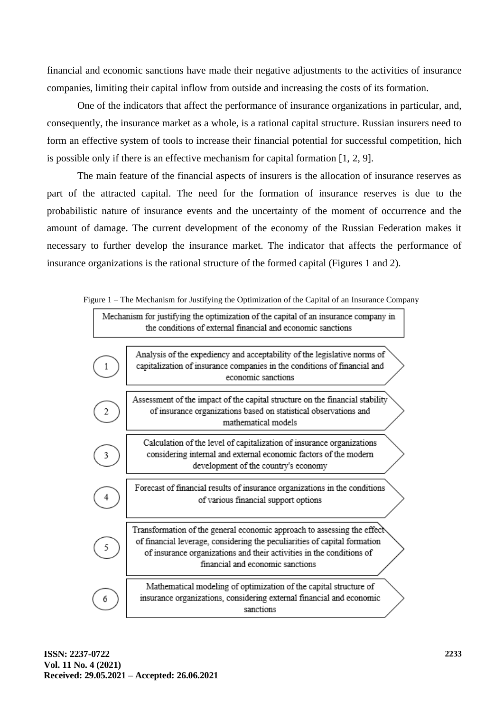financial and economic sanctions have made their negative adjustments to the activities of insurance companies, limiting their capital inflow from outside and increasing the costs of its formation.

One of the indicators that affect the performance of insurance organizations in particular, and, consequently, the insurance market as a whole, is a rational capital structure. Russian insurers need to form an effective system of tools to increase their financial potential for successful competition, hich is possible only if there is an effective mechanism for capital formation [1, 2, 9].

The main feature of the financial aspects of insurers is the allocation of insurance reserves as part of the attracted capital. The need for the formation of insurance reserves is due to the probabilistic nature of insurance events and the uncertainty of the moment of occurrence and the amount of damage. The current development of the economy of the Russian Federation makes it necessary to further develop the insurance market. The indicator that affects the performance of insurance organizations is the rational structure of the formed capital (Figures 1 and 2).



Figure 1 – The Mechanism for Justifying the Optimization of the Capital of an Insurance Company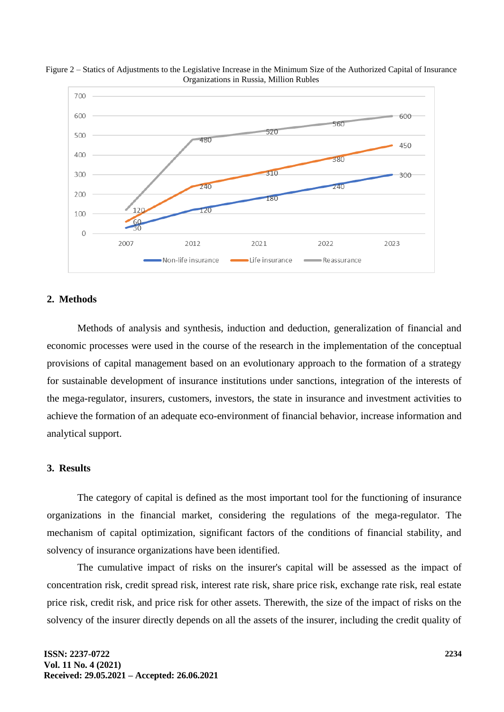



### **2. Methods**

Methods of analysis and synthesis, induction and deduction, generalization of financial and economic processes were used in the course of the research in the implementation of the conceptual provisions of capital management based on an evolutionary approach to the formation of a strategy for sustainable development of insurance institutions under sanctions, integration of the interests of the mega-regulator, insurers, customers, investors, the state in insurance and investment activities to achieve the formation of an adequate eco-environment of financial behavior, increase information and analytical support.

## **3. Results**

The category of capital is defined as the most important tool for the functioning of insurance organizations in the financial market, considering the regulations of the mega-regulator. The mechanism of capital optimization, significant factors of the conditions of financial stability, and solvency of insurance organizations have been identified.

The cumulative impact of risks on the insurer's capital will be assessed as the impact of concentration risk, credit spread risk, interest rate risk, share price risk, exchange rate risk, real estate price risk, credit risk, and price risk for other assets. Therewith, the size of the impact of risks on the solvency of the insurer directly depends on all the assets of the insurer, including the credit quality of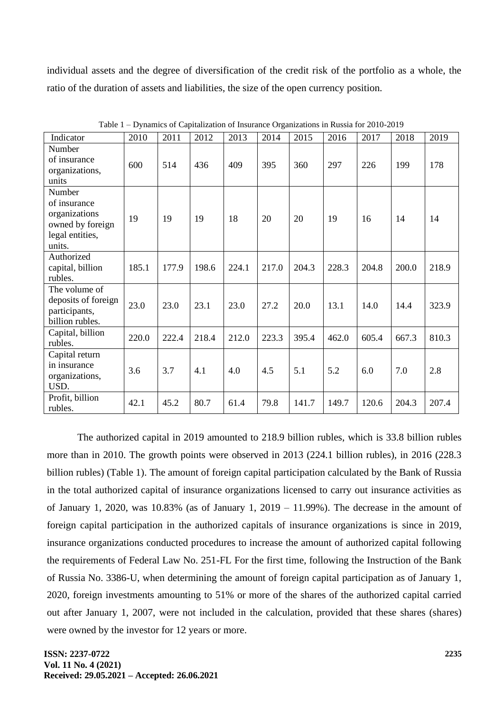individual assets and the degree of diversification of the credit risk of the portfolio as a whole, the ratio of the duration of assets and liabilities, the size of the open currency position.

| Indicator                                                                                | 2010  | 2011  | 2012  | 2013  | 2014  | 2015  | 2016  | 2017  | 2018  | 2019  |
|------------------------------------------------------------------------------------------|-------|-------|-------|-------|-------|-------|-------|-------|-------|-------|
| Number<br>of insurance<br>organizations,<br>units                                        | 600   | 514   | 436   | 409   | 395   | 360   | 297   | 226   | 199   | 178   |
| Number<br>of insurance<br>organizations<br>owned by foreign<br>legal entities,<br>units. | 19    | 19    | 19    | 18    | 20    | 20    | 19    | 16    | 14    | 14    |
| Authorized<br>capital, billion<br>rubles.                                                | 185.1 | 177.9 | 198.6 | 224.1 | 217.0 | 204.3 | 228.3 | 204.8 | 200.0 | 218.9 |
| The volume of<br>deposits of foreign<br>participants,<br>billion rubles.                 | 23.0  | 23.0  | 23.1  | 23.0  | 27.2  | 20.0  | 13.1  | 14.0  | 14.4  | 323.9 |
| Capital, billion<br>rubles.                                                              | 220.0 | 222.4 | 218.4 | 212.0 | 223.3 | 395.4 | 462.0 | 605.4 | 667.3 | 810.3 |
| Capital return<br>in insurance<br>organizations,<br>USD.                                 | 3.6   | 3.7   | 4.1   | 4.0   | 4.5   | 5.1   | 5.2   | 6.0   | 7.0   | 2.8   |
| Profit, billion<br>rubles.                                                               | 42.1  | 45.2  | 80.7  | 61.4  | 79.8  | 141.7 | 149.7 | 120.6 | 204.3 | 207.4 |

Table 1 – Dynamics of Capitalization of Insurance Organizations in Russia for 2010-2019

The authorized capital in 2019 amounted to 218.9 billion rubles, which is 33.8 billion rubles more than in 2010. The growth points were observed in 2013 (224.1 billion rubles), in 2016 (228.3 billion rubles) (Table 1). The amount of foreign capital participation calculated by the Bank of Russia in the total authorized capital of insurance organizations licensed to carry out insurance activities as of January 1, 2020, was  $10.83\%$  (as of January 1, 2019 – 11.99%). The decrease in the amount of foreign capital participation in the authorized capitals of insurance organizations is since in 2019, insurance organizations conducted procedures to increase the amount of authorized capital following the requirements of Federal Law No. 251-FL For the first time, following the Instruction of the Bank of Russia No. 3386-U, when determining the amount of foreign capital participation as of January 1, 2020, foreign investments amounting to 51% or more of the shares of the authorized capital carried out after January 1, 2007, were not included in the calculation, provided that these shares (shares) were owned by the investor for 12 years or more.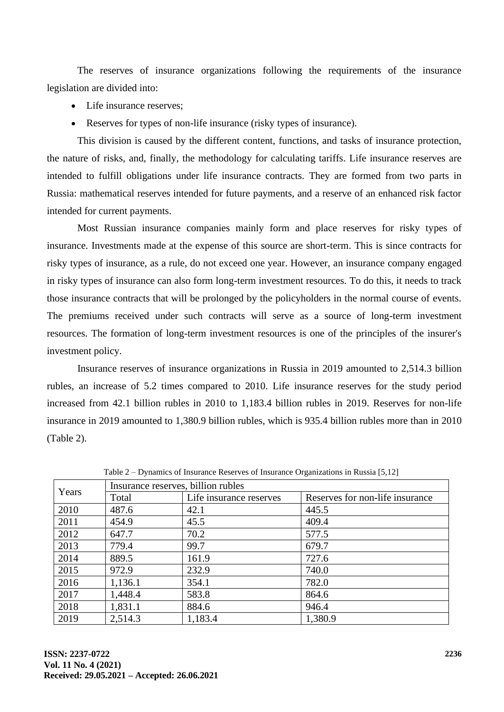The reserves of insurance organizations following the requirements of the insurance legislation are divided into:

- Life insurance reserves;
- Reserves for types of non-life insurance (risky types of insurance).

This division is caused by the different content, functions, and tasks of insurance protection, the nature of risks, and, finally, the methodology for calculating tariffs. Life insurance reserves are intended to fulfill obligations under life insurance contracts. They are formed from two parts in Russia: mathematical reserves intended for future payments, and a reserve of an enhanced risk factor intended for current payments.

Most Russian insurance companies mainly form and place reserves for risky types of insurance. Investments made at the expense of this source are short-term. This is since contracts for risky types of insurance, as a rule, do not exceed one year. However, an insurance company engaged in risky types of insurance can also form long-term investment resources. To do this, it needs to track those insurance contracts that will be prolonged by the policyholders in the normal course of events. The premiums received under such contracts will serve as a source of long-term investment resources. The formation of long-term investment resources is one of the principles of the insurer's investment policy.

Insurance reserves of insurance organizations in Russia in 2019 amounted to 2,514.3 billion rubles, an increase of 5.2 times compared to 2010. Life insurance reserves for the study period increased from 42.1 billion rubles in 2010 to 1,183.4 billion rubles in 2019. Reserves for non-life insurance in 2019 amounted to 1,380.9 billion rubles, which is 935.4 billion rubles more than in 2010 (Table 2).

| Years | Insurance reserves, billion rubles |                         |                                 |  |  |  |  |  |  |
|-------|------------------------------------|-------------------------|---------------------------------|--|--|--|--|--|--|
|       | Total                              | Life insurance reserves | Reserves for non-life insurance |  |  |  |  |  |  |
| 2010  | 487.6                              | 42.1                    | 445.5                           |  |  |  |  |  |  |
| 2011  | 454.9                              | 45.5                    | 409.4                           |  |  |  |  |  |  |
| 2012  | 647.7                              | 70.2                    | 577.5                           |  |  |  |  |  |  |
| 2013  | 779.4                              | 99.7                    | 679.7                           |  |  |  |  |  |  |
| 2014  | 889.5                              | 161.9                   | 727.6                           |  |  |  |  |  |  |
| 2015  | 972.9                              | 232.9                   | 740.0                           |  |  |  |  |  |  |
| 2016  | 1,136.1                            | 354.1                   | 782.0                           |  |  |  |  |  |  |
| 2017  | 1,448.4                            | 583.8                   | 864.6                           |  |  |  |  |  |  |
| 2018  | 1,831.1                            | 884.6                   | 946.4                           |  |  |  |  |  |  |
| 2019  | 2,514.3                            | 1,183.4                 | 1,380.9                         |  |  |  |  |  |  |

Table 2 – Dynamics of Insurance Reserves of Insurance Organizations in Russia [5,12]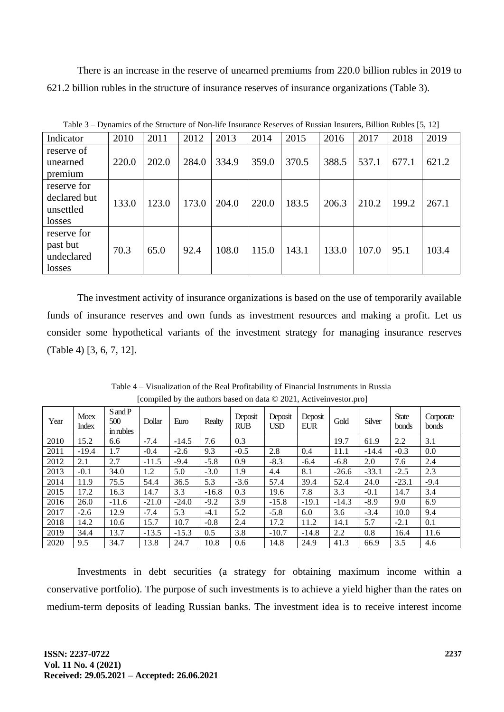There is an increase in the reserve of unearned premiums from 220.0 billion rubles in 2019 to 621.2 billion rubles in the structure of insurance reserves of insurance organizations (Table 3).

| raviv J<br>D vinamics of the Buttering of From the mistrance reserves of reasian mistrers, Diffion Raores (9, 12) |       |       |       |       |       |       |       |       |       |       |
|-------------------------------------------------------------------------------------------------------------------|-------|-------|-------|-------|-------|-------|-------|-------|-------|-------|
| Indicator                                                                                                         | 2010  | 2011  | 2012  | 2013  | 2014  | 2015  | 2016  | 2017  | 2018  | 2019  |
| reserve of<br>unearned<br>premium                                                                                 | 220.0 | 202.0 | 284.0 | 334.9 | 359.0 | 370.5 | 388.5 | 537.1 | 677.1 | 621.2 |
| reserve for<br>declared but<br>unsettled<br>losses                                                                | 133.0 | 123.0 | 173.0 | 204.0 | 220.0 | 183.5 | 206.3 | 210.2 | 199.2 | 267.1 |
| reserve for<br>past but<br>undeclared<br>losses                                                                   | 70.3  | 65.0  | 92.4  | 108.0 | 115.0 | 143.1 | 133.0 | 107.0 | 95.1  | 103.4 |

Table 3 – Dynamics of the Structure of Non-life Insurance Reserves of Russian Insurers, Billion Rubles [5, 12]

The investment activity of insurance organizations is based on the use of temporarily available funds of insurance reserves and own funds as investment resources and making a profit. Let us consider some hypothetical variants of the investment strategy for managing insurance reserves (Table 4) [3, 6, 7, 12].

| Year | <b>Moex</b><br><b>Index</b> | $S$ and $P$<br>500<br>in rubles | Dollar  | Euro    | Realty  | Deposit<br><b>RUB</b> | Deposit<br><b>USD</b> | Deposit<br><b>EUR</b> | Gold    | Silver  | <b>State</b><br>bonds | Corporate<br>bonds |
|------|-----------------------------|---------------------------------|---------|---------|---------|-----------------------|-----------------------|-----------------------|---------|---------|-----------------------|--------------------|
| 2010 | 15.2                        | 6.6                             | $-7.4$  | $-14.5$ | 7.6     | 0.3                   |                       |                       | 19.7    | 61.9    | 2.2                   | 3.1                |
| 2011 | $-19.4$                     | 1.7                             | $-0.4$  | $-2.6$  | 9.3     | $-0.5$                | 2.8                   | 0.4                   | 11.1    | $-14.4$ | $-0.3$                | 0.0                |
| 2012 | 2.1                         | 2.7                             | $-11.5$ | $-9.4$  | $-5.8$  | 0.9                   | $-8.3$                | $-6.4$                | $-6.8$  | 2.0     | 7.6                   | 2.4                |
| 2013 | $-0.1$                      | 34.0                            | 1.2     | 5.0     | $-3.0$  | 1.9                   | 4.4                   | 8.1                   | $-26.6$ | $-33.1$ | $-2.5$                | 2.3                |
| 2014 | 11.9                        | 75.5                            | 54.4    | 36.5    | 5.3     | $-3.6$                | 57.4                  | 39.4                  | 52.4    | 24.0    | $-23.1$               | $-9.4$             |
| 2015 | 17.2                        | 16.3                            | 14.7    | 3.3     | $-16.8$ | 0.3                   | 19.6                  | 7.8                   | 3.3     | $-0.1$  | 14.7                  | 3.4                |
| 2016 | 26.0                        | $-11.6$                         | $-21.0$ | $-24.0$ | $-9.2$  | 3.9                   | $-15.8$               | $-19.1$               | $-14.3$ | $-8.9$  | 9.0                   | 6.9                |
| 2017 | $-2.6$                      | 12.9                            | $-7.4$  | 5.3     | $-4.1$  | 5.2                   | $-5.8$                | 6.0                   | 3.6     | $-3.4$  | 10.0                  | 9.4                |
| 2018 | 14.2                        | 10.6                            | 15.7    | 10.7    | $-0.8$  | 2.4                   | 17.2                  | 11.2                  | 14.1    | 5.7     | $-2.1$                | 0.1                |
| 2019 | 34.4                        | 13.7                            | $-13.5$ | $-15.3$ | 0.5     | 3.8                   | $-10.7$               | $-14.8$               | 2.2     | 0.8     | 16.4                  | 11.6               |
| 2020 | 9.5                         | 34.7                            | 13.8    | 24.7    | 10.8    | 0.6                   | 14.8                  | 24.9                  | 41.3    | 66.9    | 3.5                   | 4.6                |

Table 4 – Visualization of the Real Profitability of Financial Instruments in Russia [compiled by the authors based on data © 2021, Activeinvestor.pro]

Investments in debt securities (a strategy for obtaining maximum income within a conservative portfolio). The purpose of such investments is to achieve a yield higher than the rates on medium-term deposits of leading Russian banks. The investment idea is to receive interest income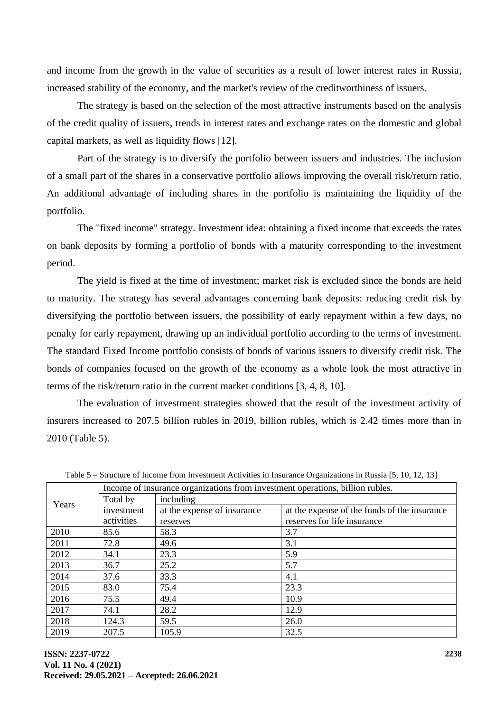and income from the growth in the value of securities as a result of lower interest rates in Russia, increased stability of the economy, and the market's review of the creditworthiness of issuers.

The strategy is based on the selection of the most attractive instruments based on the analysis of the credit quality of issuers, trends in interest rates and exchange rates on the domestic and global capital markets, as well as liquidity flows [12].

Part of the strategy is to diversify the portfolio between issuers and industries. The inclusion of a small part of the shares in a conservative portfolio allows improving the overall risk/return ratio. An additional advantage of including shares in the portfolio is maintaining the liquidity of the portfolio.

The "fixed income" strategy. Investment idea: obtaining a fixed income that exceeds the rates on bank deposits by forming a portfolio of bonds with a maturity corresponding to the investment period.

The yield is fixed at the time of investment; market risk is excluded since the bonds are held to maturity. The strategy has several advantages concerning bank deposits: reducing credit risk by diversifying the portfolio between issuers, the possibility of early repayment within a few days, no penalty for early repayment, drawing up an individual portfolio according to the terms of investment. The standard Fixed Income portfolio consists of bonds of various issuers to diversify credit risk. The bonds of companies focused on the growth of the economy as a whole look the most attractive in terms of the risk/return ratio in the current market conditions [3, 4, 8, 10].

The evaluation of investment strategies showed that the result of the investment activity of insurers increased to 207.5 billion rubles in 2019, billion rubles, which is 2.42 times more than in 2010 (Table 5).

|       | Income of insurance organizations from investment operations, billion rubles. |                             |                                              |  |  |  |  |  |  |
|-------|-------------------------------------------------------------------------------|-----------------------------|----------------------------------------------|--|--|--|--|--|--|
| Years | Total by                                                                      | including                   |                                              |  |  |  |  |  |  |
|       | investment                                                                    | at the expense of insurance | at the expense of the funds of the insurance |  |  |  |  |  |  |
|       | activities                                                                    | reserves                    | reserves for life insurance                  |  |  |  |  |  |  |
| 2010  | 85.6                                                                          | 58.3                        | 3.7                                          |  |  |  |  |  |  |
| 2011  | 72.8                                                                          | 49.6                        | 3.1                                          |  |  |  |  |  |  |
| 2012  | 34.1                                                                          | 23.3                        | 5.9                                          |  |  |  |  |  |  |
| 2013  | 36.7                                                                          | 25.2                        | 5.7                                          |  |  |  |  |  |  |
| 2014  | 37.6                                                                          | 33.3                        | 4.1                                          |  |  |  |  |  |  |
| 2015  | 83.0                                                                          | 75.4                        | 23.3                                         |  |  |  |  |  |  |
| 2016  | 75.5                                                                          | 49.4                        | 10.9                                         |  |  |  |  |  |  |
| 2017  | 74.1                                                                          | 28.2                        | 12.9                                         |  |  |  |  |  |  |
| 2018  | 124.3                                                                         | 59.5                        | 26.0                                         |  |  |  |  |  |  |
| 2019  | 207.5                                                                         | 105.9                       | 32.5                                         |  |  |  |  |  |  |

Table 5 – Structure of Income from Investment Activities in Insurance Organizations in Russia [5, 10, 12, 13]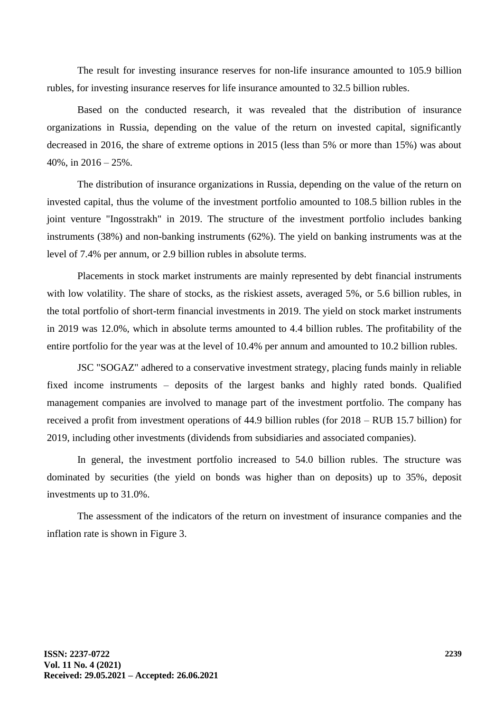The result for investing insurance reserves for non-life insurance amounted to 105.9 billion rubles, for investing insurance reserves for life insurance amounted to 32.5 billion rubles.

Based on the conducted research, it was revealed that the distribution of insurance organizations in Russia, depending on the value of the return on invested capital, significantly decreased in 2016, the share of extreme options in 2015 (less than 5% or more than 15%) was about  $40\%$ , in  $2016 - 25\%$ .

The distribution of insurance organizations in Russia, depending on the value of the return on invested capital, thus the volume of the investment portfolio amounted to 108.5 billion rubles in the joint venture "Ingosstrakh" in 2019. The structure of the investment portfolio includes banking instruments (38%) and non-banking instruments (62%). The yield on banking instruments was at the level of 7.4% per annum, or 2.9 billion rubles in absolute terms.

Placements in stock market instruments are mainly represented by debt financial instruments with low volatility. The share of stocks, as the riskiest assets, averaged 5%, or 5.6 billion rubles, in the total portfolio of short-term financial investments in 2019. The yield on stock market instruments in 2019 was 12.0%, which in absolute terms amounted to 4.4 billion rubles. The profitability of the entire portfolio for the year was at the level of 10.4% per annum and amounted to 10.2 billion rubles.

JSC "SOGAZ" adhered to a conservative investment strategy, placing funds mainly in reliable fixed income instruments – deposits of the largest banks and highly rated bonds. Qualified management companies are involved to manage part of the investment portfolio. The company has received a profit from investment operations of 44.9 billion rubles (for 2018 – RUB 15.7 billion) for 2019, including other investments (dividends from subsidiaries and associated companies).

In general, the investment portfolio increased to 54.0 billion rubles. The structure was dominated by securities (the yield on bonds was higher than on deposits) up to 35%, deposit investments up to 31.0%.

The assessment of the indicators of the return on investment of insurance companies and the inflation rate is shown in Figure 3.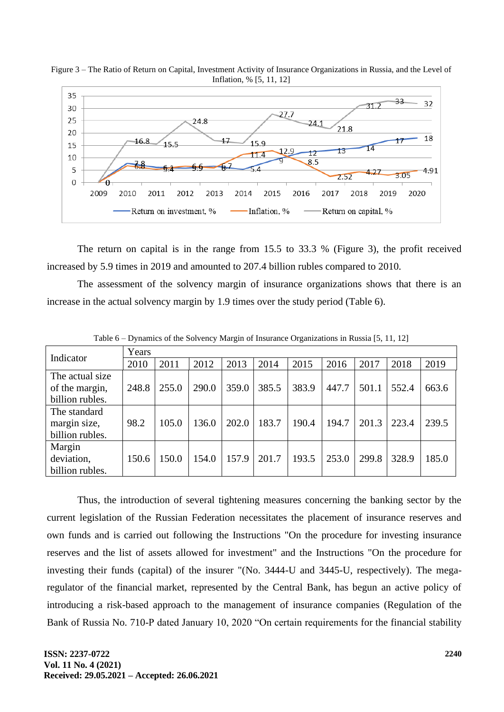

Figure 3 – The Ratio of Return on Capital, Investment Activity of Insurance Organizations in Russia, and the Level of Inflation, % [5, 11, 12]

The return on capital is in the range from 15.5 to 33.3 % (Figure 3), the profit received increased by 5.9 times in 2019 and amounted to 207.4 billion rubles compared to 2010.

The assessment of the solvency margin of insurance organizations shows that there is an increase in the actual solvency margin by 1.9 times over the study period (Table 6).

| Indicator       | Years |       |       |       |       |       |       |       |       |       |  |
|-----------------|-------|-------|-------|-------|-------|-------|-------|-------|-------|-------|--|
|                 | 2010  | 2011  | 2012  | 2013  | 2014  | 2015  | 2016  | 2017  | 2018  | 2019  |  |
| The actual size |       |       |       |       |       |       |       |       |       |       |  |
| of the margin,  | 248.8 | 255.0 | 290.0 | 359.0 | 385.5 | 383.9 | 447.7 | 501.1 | 552.4 | 663.6 |  |
| billion rubles. |       |       |       |       |       |       |       |       |       |       |  |
| The standard    |       |       |       |       |       |       |       |       |       |       |  |
| margin size,    | 98.2  | 105.0 | 136.0 | 202.0 | 183.7 | 190.4 | 194.7 | 201.3 | 223.4 | 239.5 |  |
| billion rubles. |       |       |       |       |       |       |       |       |       |       |  |
| Margin          |       |       |       |       |       |       |       |       |       |       |  |
| deviation,      | 150.6 | 150.0 | 154.0 | 157.9 | 201.7 | 193.5 | 253.0 | 299.8 | 328.9 | 185.0 |  |
| billion rubles. |       |       |       |       |       |       |       |       |       |       |  |

Table 6 – Dynamics of the Solvency Margin of Insurance Organizations in Russia [5, 11, 12]

Thus, the introduction of several tightening measures concerning the banking sector by the current legislation of the Russian Federation necessitates the placement of insurance reserves and own funds and is carried out following the Instructions "On the procedure for investing insurance reserves and the list of assets allowed for investment" and the Instructions "On the procedure for investing their funds (capital) of the insurer "(No. 3444-U and 3445-U, respectively). The megaregulator of the financial market, represented by the Central Bank, has begun an active policy of introducing a risk-based approach to the management of insurance companies (Regulation of the Bank of Russia No. 710-P dated January 10, 2020 "On certain requirements for the financial stability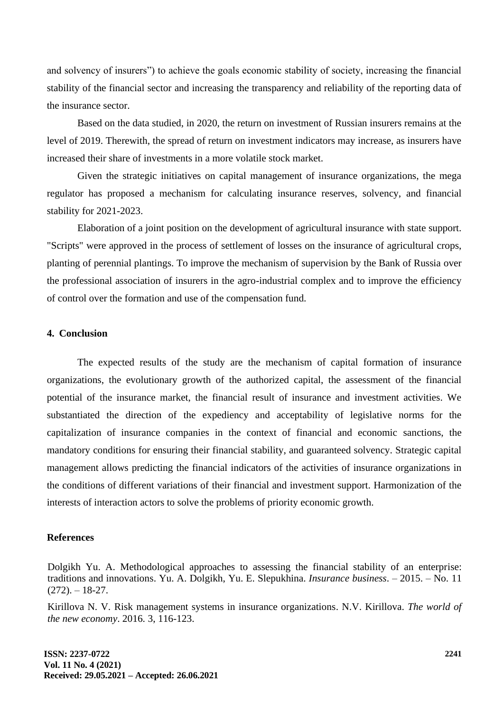and solvency of insurers") to achieve the goals economic stability of society, increasing the financial stability of the financial sector and increasing the transparency and reliability of the reporting data of the insurance sector.

Based on the data studied, in 2020, the return on investment of Russian insurers remains at the level of 2019. Therewith, the spread of return on investment indicators may increase, as insurers have increased their share of investments in a more volatile stock market.

Given the strategic initiatives on capital management of insurance organizations, the mega regulator has proposed a mechanism for calculating insurance reserves, solvency, and financial stability for 2021-2023.

Elaboration of a joint position on the development of agricultural insurance with state support. "Scripts" were approved in the process of settlement of losses on the insurance of agricultural crops, planting of perennial plantings. To improve the mechanism of supervision by the Bank of Russia over the professional association of insurers in the agro-industrial complex and to improve the efficiency of control over the formation and use of the compensation fund.

## **4. Conclusion**

The expected results of the study are the mechanism of capital formation of insurance organizations, the evolutionary growth of the authorized capital, the assessment of the financial potential of the insurance market, the financial result of insurance and investment activities. We substantiated the direction of the expediency and acceptability of legislative norms for the capitalization of insurance companies in the context of financial and economic sanctions, the mandatory conditions for ensuring their financial stability, and guaranteed solvency. Strategic capital management allows predicting the financial indicators of the activities of insurance organizations in the conditions of different variations of their financial and investment support. Harmonization of the interests of interaction actors to solve the problems of priority economic growth.

#### **References**

Dolgikh Yu. A. Methodological approaches to assessing the financial stability of an enterprise: traditions and innovations. Yu. A. Dolgikh, Yu. E. Slepukhina. *Insurance business*. – 2015. – No. 11  $(272)$ . – 18-27.

Kirillova N. V. Risk management systems in insurance organizations. N.V. Kirillova. *The world of the new economy*. 2016. 3, 116-123.